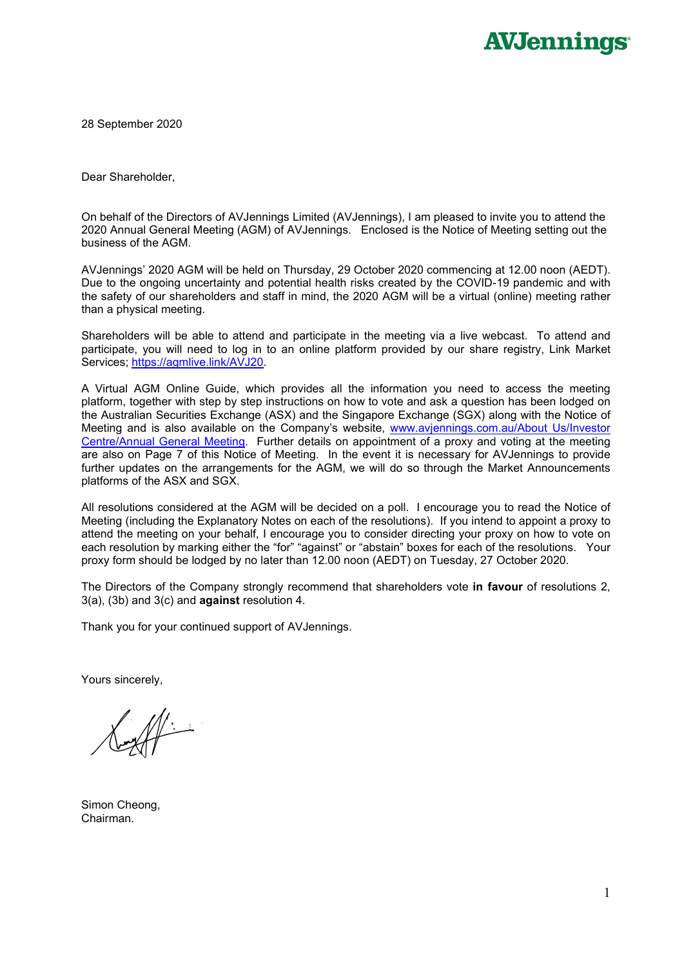28 September 2020

Dear Shareholder,

On behalf of the Directors of AVJennings Limited (AVJennings), I am pleased to invite you to attend the 2020 Annual General Meeting (AGM) of AVJennings. Enclosed is the Notice of Meeting setting out the business of the AGM.

AVJennings' 2020 AGM will be held on Thursday, 29 October 2020 commencing at 12.00 noon (AEDT). Due to the ongoing uncertainty and potential health risks created by the COVID-19 pandemic and with the safety of our shareholders and staff in mind, the 2020 AGM will be a virtual (online) meeting rather than a physical meeting.

Shareholders will be able to attend and participate in the meeting via a live webcast. To attend and participate, you will need to log in to an online platform provided by our share registry, Link Market Services; [https://agmlive.link/AVJ20.](https://agmlive.link/AVJ20)

A Virtual AGM Online Guide, which provides all the information you need to access the meeting platform, together with step by step instructions on how to vote and ask a question has been lodged on the Australian Securities Exchange (ASX) and the Singapore Exchange (SGX) along with the Notice of Meeting and is also available on the Company's website, [www.avjennings.com.au/About](http://www.avjennings.com.au/About%20Us/Investor%20Centre/Annual%20General%20Meeting) Us/Investor Centre/Annual [General Meeting.](http://www.avjennings.com.au/About%20Us/Investor%20Centre/Annual%20General%20Meeting) Further details on appointment of a proxy and voting at the meeting are also on Page 7 of this Notice of Meeting. In the event it is necessary for AVJennings to provide further updates on the arrangements for the AGM, we will do so through the Market Announcements platforms of the ASX and SGX.

All resolutions considered at the AGM will be decided on a poll. I encourage you to read the Notice of Meeting (including the Explanatory Notes on each of the resolutions). If you intend to appoint a proxy to attend the meeting on your behalf, I encourage you to consider directing your proxy on how to vote on each resolution by marking either the "for" "against" or "abstain" boxes for each of the resolutions. Your proxy form should be lodged by no later than 12.00 noon (AEDT) on Tuesday, 27 October 2020.

The Directors of the Company strongly recommend that shareholders vote **in favour** of resolutions 2, 3(a), (3b) and 3(c) and **against** resolution 4.

Thank you for your continued support of AVJennings.

Yours sincerely,

 $\mathbb{M}_{\hat{}}$ 

Simon Cheong, Chairman.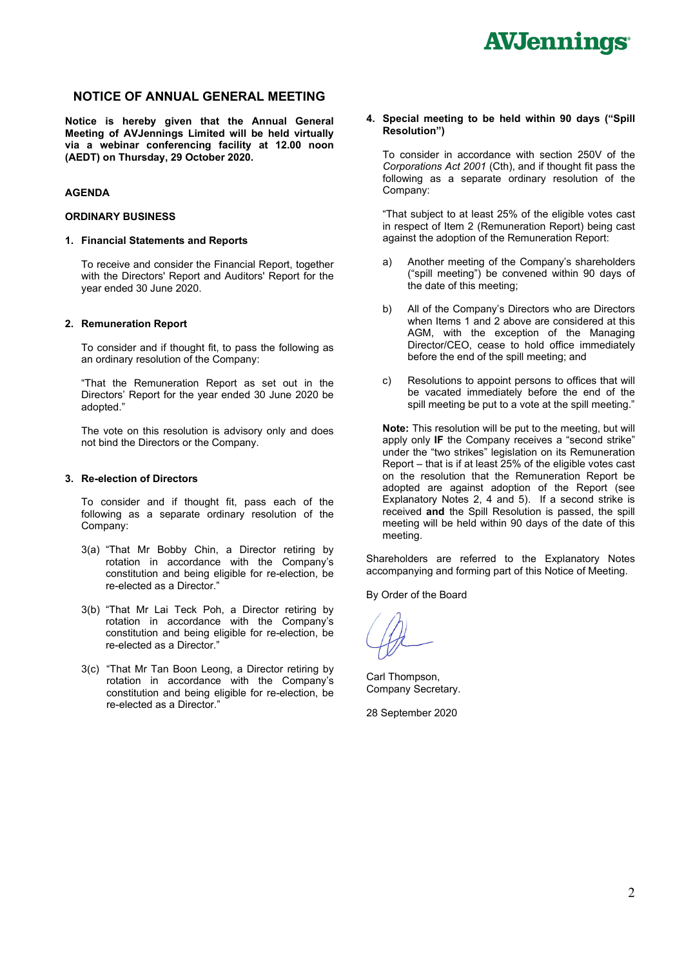### **NOTICE OF ANNUAL GENERAL MEETING**

**Notice is hereby given that the Annual General Meeting of AVJennings Limited will be held virtually via a webinar conferencing facility at 12.00 noon (AEDT) on Thursday, 29 October 2020.**

#### **AGENDA**

#### **ORDINARY BUSINESS**

#### **1. Financial Statements and Reports**

To receive and consider the Financial Report, together with the Directors' Report and Auditors' Report for the year ended 30 June 2020.

#### **2. Remuneration Report**

To consider and if thought fit, to pass the following as an ordinary resolution of the Company:

"That the Remuneration Report as set out in the Directors' Report for the year ended 30 June 2020 be adopted."

The vote on this resolution is advisory only and does not bind the Directors or the Company.

#### **3. Re-election of Directors**

To consider and if thought fit, pass each of the following as a separate ordinary resolution of the Company:

- 3(a) "That Mr Bobby Chin, a Director retiring by rotation in accordance with the Company's constitution and being eligible for re-election, be re-elected as a Director."
- 3(b) "That Mr Lai Teck Poh, a Director retiring by rotation in accordance with the Company's constitution and being eligible for re-election, be re-elected as a Director."
- 3(c) "That Mr Tan Boon Leong, a Director retiring by rotation in accordance with the Company's constitution and being eligible for re-election, be re-elected as a Director."

**4. Special meeting to be held within 90 days ("Spill Resolution")**

To consider in accordance with section 250V of the *Corporations Act 2001* (Cth), and if thought fit pass the following as a separate ordinary resolution of the Company:

"That subject to at least 25% of the eligible votes cast in respect of Item 2 (Remuneration Report) being cast against the adoption of the Remuneration Report:

- a) Another meeting of the Company's shareholders ("spill meeting") be convened within 90 days of the date of this meeting;
- b) All of the Company's Directors who are Directors when Items 1 and 2 above are considered at this AGM, with the exception of the Managing Director/CEO, cease to hold office immediately before the end of the spill meeting; and
- c) Resolutions to appoint persons to offices that will be vacated immediately before the end of the spill meeting be put to a vote at the spill meeting."

**Note:** This resolution will be put to the meeting, but will apply only **IF** the Company receives a "second strike" under the "two strikes" legislation on its Remuneration Report – that is if at least 25% of the eligible votes cast on the resolution that the Remuneration Report be adopted are against adoption of the Report (see Explanatory Notes 2, 4 and 5). If a second strike is received **and** the Spill Resolution is passed, the spill meeting will be held within 90 days of the date of this meeting.

Shareholders are referred to the Explanatory Notes accompanying and forming part of this Notice of Meeting.

By Order of the Board

Carl Thompson, Company Secretary.

28 September 2020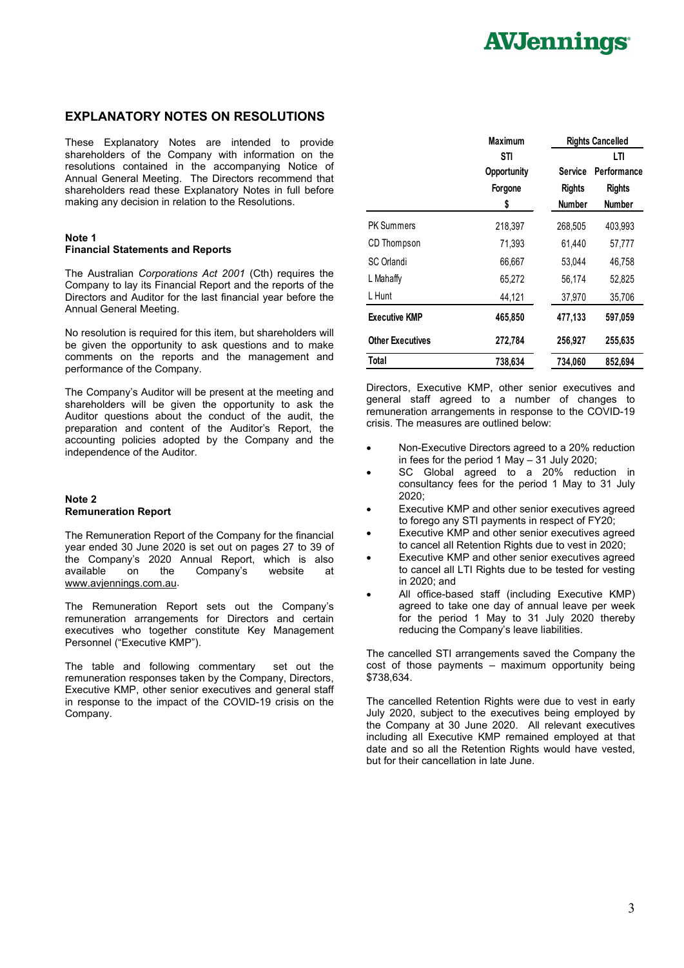### **EXPLANATORY NOTES ON RESOLUTIONS**

These Explanatory Notes are intended to provide shareholders of the Company with information on the resolutions contained in the accompanying Notice of Annual General Meeting. The Directors recommend that shareholders read these Explanatory Notes in full before making any decision in relation to the Resolutions.

### **Note 1**

#### **Financial Statements and Reports**

The Australian *Corporations Act 2001* (Cth) requires the Company to lay its Financial Report and the reports of the Directors and Auditor for the last financial year before the Annual General Meeting.

No resolution is required for this item, but shareholders will be given the opportunity to ask questions and to make comments on the reports and the management and performance of the Company.

The Company's Auditor will be present at the meeting and shareholders will be given the opportunity to ask the Auditor questions about the conduct of the audit, the preparation and content of the Auditor's Report, the accounting policies adopted by the Company and the independence of the Auditor.

#### **Note 2 Remuneration Report**

The Remuneration Report of the Company for the financial year ended 30 June 2020 is set out on pages 27 to 39 of the Company's 2020 Annual Report, which is also on the Company's website at [www.avjennings.com.au.](http://www.avjennings.com.au/)

The Remuneration Report sets out the Company's remuneration arrangements for Directors and certain executives who together constitute Key Management Personnel ("Executive KMP").

The table and following commentary set out the remuneration responses taken by the Company, Directors, Executive KMP, other senior executives and general staff in response to the impact of the COVID-19 crisis on the Company.

|                         | <b>Maximum</b>            | <b>Rights Cancelled</b> |                                |  |  |
|-------------------------|---------------------------|-------------------------|--------------------------------|--|--|
|                         | STI<br><b>Opportunity</b> | Service                 | LTI<br>Performance             |  |  |
|                         | Forgone<br>\$             | <b>Rights</b><br>Number | <b>Rights</b><br><b>Number</b> |  |  |
| <b>PK Summers</b>       | 218,397                   | 268,505                 | 403,993                        |  |  |
| CD Thompson             | 71,393                    | 61,440                  | 57,777                         |  |  |
| SC Orlandi              | 66,667                    | 53.044                  | 46,758                         |  |  |
| L Mahaffy               | 65,272                    | 56,174                  | 52,825                         |  |  |
| L Hunt                  | 44,121                    | 37,970                  | 35,706                         |  |  |
| <b>Executive KMP</b>    | 465,850                   | 477,133                 | 597,059                        |  |  |
| <b>Other Executives</b> | 272,784                   | 256,927                 | 255,635                        |  |  |
| Total                   | 738,634                   | 734,060                 | 852,694                        |  |  |

Directors, Executive KMP, other senior executives and general staff agreed to a number of changes to remuneration arrangements in response to the COVID-19 crisis. The measures are outlined below:

- Non-Executive Directors agreed to a 20% reduction in fees for the period 1 May – 31 July 2020;
- SC Global agreed to a 20% reduction in consultancy fees for the period 1 May to 31 July 2020;
- Executive KMP and other senior executives agreed to forego any STI payments in respect of FY20;
- Executive KMP and other senior executives agreed to cancel all Retention Rights due to vest in 2020;
- Executive KMP and other senior executives agreed to cancel all LTI Rights due to be tested for vesting in 2020; and
- All office-based staff (including Executive KMP) agreed to take one day of annual leave per week for the period 1 May to 31 July 2020 thereby reducing the Company's leave liabilities.

The cancelled STI arrangements saved the Company the cost of those payments – maximum opportunity being \$738,634.

The cancelled Retention Rights were due to vest in early July 2020, subject to the executives being employed by the Company at 30 June 2020. All relevant executives including all Executive KMP remained employed at that date and so all the Retention Rights would have vested, but for their cancellation in late June.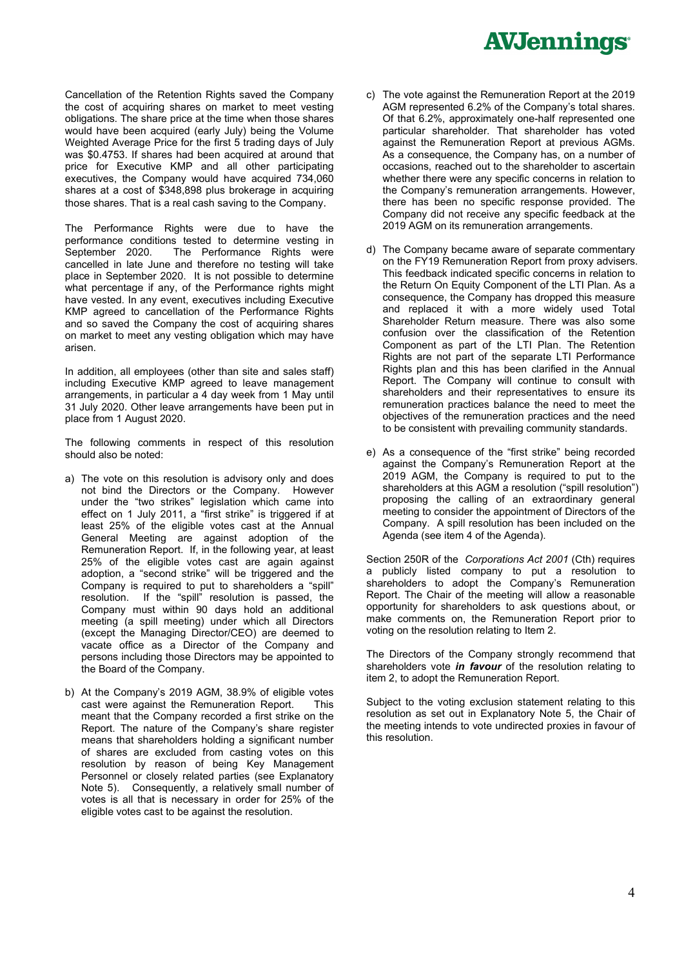Cancellation of the Retention Rights saved the Company the cost of acquiring shares on market to meet vesting obligations. The share price at the time when those shares would have been acquired (early July) being the Volume Weighted Average Price for the first 5 trading days of July was \$0.4753. If shares had been acquired at around that price for Executive KMP and all other participating executives, the Company would have acquired 734,060 shares at a cost of \$348,898 plus brokerage in acquiring those shares. That is a real cash saving to the Company.

The Performance Rights were due to have the performance conditions tested to determine vesting in<br>September 2020. The Performance Rights were The Performance Rights were cancelled in late June and therefore no testing will take place in September 2020. It is not possible to determine what percentage if any, of the Performance rights might have vested. In any event, executives including Executive KMP agreed to cancellation of the Performance Rights and so saved the Company the cost of acquiring shares on market to meet any vesting obligation which may have arisen.

In addition, all employees (other than site and sales staff) including Executive KMP agreed to leave management arrangements, in particular a 4 day week from 1 May until 31 July 2020. Other leave arrangements have been put in place from 1 August 2020.

The following comments in respect of this resolution should also be noted:

- a) The vote on this resolution is advisory only and does not bind the Directors or the Company. However under the "two strikes" legislation which came into effect on 1 July 2011, a "first strike" is triggered if at least 25% of the eligible votes cast at the Annual General Meeting are against adoption of the Remuneration Report. If, in the following year, at least 25% of the eligible votes cast are again against adoption, a "second strike" will be triggered and the Company is required to put to shareholders a "spill" resolution. If the "spill" resolution is passed, the Company must within 90 days hold an additional meeting (a spill meeting) under which all Directors (except the Managing Director/CEO) are deemed to vacate office as a Director of the Company and persons including those Directors may be appointed to the Board of the Company.
- b) At the Company's 2019 AGM, 38.9% of eligible votes cast were against the Remuneration Report. This meant that the Company recorded a first strike on the Report. The nature of the Company's share register means that shareholders holding a significant number of shares are excluded from casting votes on this resolution by reason of being Key Management Personnel or closely related parties (see Explanatory Note 5). Consequently, a relatively small number of votes is all that is necessary in order for 25% of the eligible votes cast to be against the resolution.
- c) The vote against the Remuneration Report at the 2019 AGM represented 6.2% of the Company's total shares. Of that 6.2%, approximately one-half represented one particular shareholder. That shareholder has voted against the Remuneration Report at previous AGMs. As a consequence, the Company has, on a number of occasions, reached out to the shareholder to ascertain whether there were any specific concerns in relation to the Company's remuneration arrangements. However, there has been no specific response provided. The Company did not receive any specific feedback at the 2019 AGM on its remuneration arrangements.
- d) The Company became aware of separate commentary on the FY19 Remuneration Report from proxy advisers. This feedback indicated specific concerns in relation to the Return On Equity Component of the LTI Plan. As a consequence, the Company has dropped this measure and replaced it with a more widely used Total Shareholder Return measure. There was also some confusion over the classification of the Retention Component as part of the LTI Plan. The Retention Rights are not part of the separate LTI Performance Rights plan and this has been clarified in the Annual Report. The Company will continue to consult with shareholders and their representatives to ensure its remuneration practices balance the need to meet the objectives of the remuneration practices and the need to be consistent with prevailing community standards.
- e) As a consequence of the "first strike" being recorded against the Company's Remuneration Report at the 2019 AGM, the Company is required to put to the shareholders at this AGM a resolution ("spill resolution") proposing the calling of an extraordinary general meeting to consider the appointment of Directors of the Company. A spill resolution has been included on the Agenda (see item 4 of the Agenda).

Section 250R of the *Corporations Act 2001* (Cth) requires a publicly listed company to put a resolution to shareholders to adopt the Company's Remuneration Report. The Chair of the meeting will allow a reasonable opportunity for shareholders to ask questions about, or make comments on, the Remuneration Report prior to voting on the resolution relating to Item 2.

The Directors of the Company strongly recommend that shareholders vote *in favour* of the resolution relating to item 2, to adopt the Remuneration Report.

Subject to the voting exclusion statement relating to this resolution as set out in Explanatory Note 5, the Chair of the meeting intends to vote undirected proxies in favour of this resolution.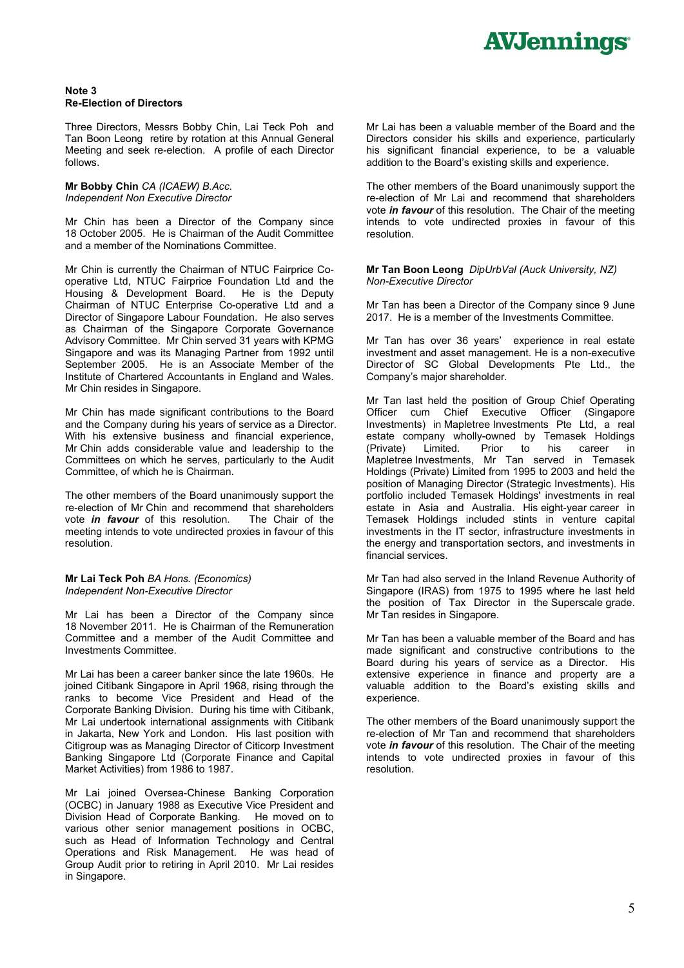#### **Note 3 Re-Election of Directors**

Three Directors, Messrs Bobby Chin, Lai Teck Poh and Tan Boon Leong retire by rotation at this Annual General Meeting and seek re-election. A profile of each Director follows.

#### **Mr Bobby Chin** *CA (ICAEW) B.Acc. Independent Non Executive Director*

Mr Chin has been a Director of the Company since 18 October 2005. He is Chairman of the Audit Committee and a member of the Nominations Committee.

Mr Chin is currently the Chairman of NTUC Fairprice Cooperative Ltd, NTUC Fairprice Foundation Ltd and the Housing & Development Board. He is the Deputy Chairman of NTUC Enterprise Co-operative Ltd and a Director of Singapore Labour Foundation. He also serves as Chairman of the Singapore Corporate Governance Advisory Committee. Mr Chin served 31 years with KPMG Singapore and was its Managing Partner from 1992 until September 2005. He is an Associate Member of the Institute of Chartered Accountants in England and Wales. Mr Chin resides in Singapore.

Mr Chin has made significant contributions to the Board and the Company during his years of service as a Director. With his extensive business and financial experience. Mr Chin adds considerable value and leadership to the Committees on which he serves, particularly to the Audit Committee, of which he is Chairman.

The other members of the Board unanimously support the re-election of Mr Chin and recommend that shareholders<br>vote *in favour* of this resolution. The Chair of the vote *in favour* of this resolution. meeting intends to vote undirected proxies in favour of this resolution.

#### **Mr Lai Teck Poh** *BA Hons. (Economics) Independent Non-Executive Director*

Mr Lai has been a Director of the Company since 18 November 2011. He is Chairman of the Remuneration Committee and a member of the Audit Committee and Investments Committee.

Mr Lai has been a career banker since the late 1960s. He joined Citibank Singapore in April 1968, rising through the ranks to become Vice President and Head of the Corporate Banking Division. During his time with Citibank, Mr Lai undertook international assignments with Citibank in Jakarta, New York and London. His last position with Citigroup was as Managing Director of Citicorp Investment Banking Singapore Ltd (Corporate Finance and Capital Market Activities) from 1986 to 1987.

Mr Lai joined Oversea-Chinese Banking Corporation (OCBC) in January 1988 as Executive Vice President and Division Head of Corporate Banking. He moved on to various other senior management positions in OCBC, such as Head of Information Technology and Central Operations and Risk Management. He was head of Group Audit prior to retiring in April 2010. Mr Lai resides in Singapore.

Mr Lai has been a valuable member of the Board and the Directors consider his skills and experience, particularly his significant financial experience, to be a valuable addition to the Board's existing skills and experience.

The other members of the Board unanimously support the re-election of Mr Lai and recommend that shareholders vote *in favour* of this resolution. The Chair of the meeting intends to vote undirected proxies in favour of this resolution.

**Mr Tan Boon Leong** *DipUrbVal (Auck University, NZ) Non-Executive Director*

Mr Tan has been a Director of the Company since 9 June 2017. He is a member of the Investments Committee.

Mr Tan has over 36 years' experience in real estate investment and asset management. He is a non-executive Director of SC Global Developments Pte Ltd., the Company's major shareholder.

Mr Tan last held the position of Group Chief Operating Officer cum Chief Executive Officer (Singapore Investments) in Mapletree Investments Pte Ltd, a real estate company wholly-owned by Temasek Holdings<br>(Private) Limited. Prior to his career in his career in Mapletree Investments, Mr Tan served in Temasek Holdings (Private) Limited from 1995 to 2003 and held the position of Managing Director (Strategic Investments). His portfolio included Temasek Holdings' investments in real estate in Asia and Australia. His eight-year career in Temasek Holdings included stints in venture capital investments in the IT sector, infrastructure investments in the energy and transportation sectors, and investments in financial services.

Mr Tan had also served in the Inland Revenue Authority of Singapore (IRAS) from 1975 to 1995 where he last held the position of Tax Director in the Superscale grade. Mr Tan resides in Singapore.

Mr Tan has been a valuable member of the Board and has made significant and constructive contributions to the Board during his years of service as a Director. His extensive experience in finance and property are a valuable addition to the Board's existing skills and experience.

The other members of the Board unanimously support the re-election of Mr Tan and recommend that shareholders vote *in favour* of this resolution. The Chair of the meeting intends to vote undirected proxies in favour of this resolution.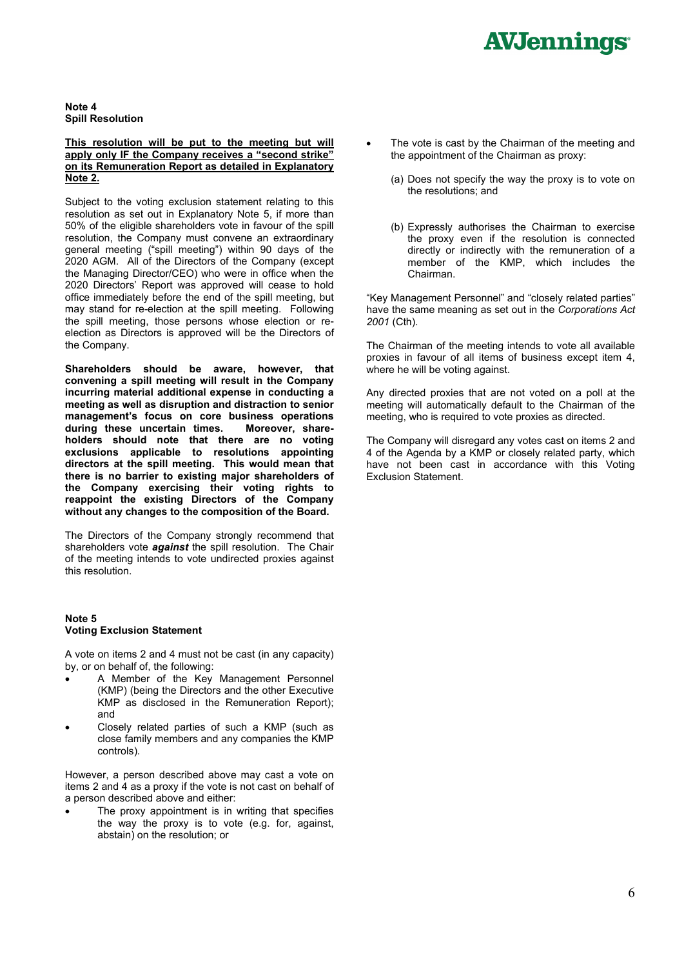**Note 4 Spill Resolution**

#### **This resolution will be put to the meeting but will apply only IF the Company receives a "second strike" on its Remuneration Report as detailed in Explanatory Note 2.**

Subject to the voting exclusion statement relating to this resolution as set out in Explanatory Note 5, if more than 50% of the eligible shareholders vote in favour of the spill resolution, the Company must convene an extraordinary general meeting ("spill meeting") within 90 days of the 2020 AGM. All of the Directors of the Company (except the Managing Director/CEO) who were in office when the 2020 Directors' Report was approved will cease to hold office immediately before the end of the spill meeting, but may stand for re-election at the spill meeting. Following the spill meeting, those persons whose election or reelection as Directors is approved will be the Directors of the Company.

**Shareholders should be aware, however, that convening a spill meeting will result in the Company incurring material additional expense in conducting a meeting as well as disruption and distraction to senior management's focus on core business operations** during these uncertain times. **holders should note that there are no voting exclusions applicable to resolutions appointing directors at the spill meeting. This would mean that there is no barrier to existing major shareholders of the Company exercising their voting rights to reappoint the existing Directors of the Company without any changes to the composition of the Board.**

The Directors of the Company strongly recommend that shareholders vote *against* the spill resolution. The Chair of the meeting intends to vote undirected proxies against this resolution.

#### **Note 5 Voting Exclusion Statement**

A vote on items 2 and 4 must not be cast (in any capacity) by, or on behalf of, the following:

- A Member of the Key Management Personnel (KMP) (being the Directors and the other Executive KMP as disclosed in the Remuneration Report); and
- Closely related parties of such a KMP (such as close family members and any companies the KMP controls).

However, a person described above may cast a vote on items 2 and 4 as a proxy if the vote is not cast on behalf of a person described above and either:

The proxy appointment is in writing that specifies the way the proxy is to vote (e.g. for, against, abstain) on the resolution; or

- The vote is cast by the Chairman of the meeting and the appointment of the Chairman as proxy:
	- (a) Does not specify the way the proxy is to vote on the resolutions; and
	- (b) Expressly authorises the Chairman to exercise the proxy even if the resolution is connected directly or indirectly with the remuneration of a member of the KMP, which includes the Chairman.

"Key Management Personnel" and "closely related parties" have the same meaning as set out in the *Corporations Act 2001* (Cth).

The Chairman of the meeting intends to vote all available proxies in favour of all items of business except item 4, where he will be voting against.

Any directed proxies that are not voted on a poll at the meeting will automatically default to the Chairman of the meeting, who is required to vote proxies as directed.

The Company will disregard any votes cast on items 2 and 4 of the Agenda by a KMP or closely related party, which have not been cast in accordance with this Voting Exclusion Statement.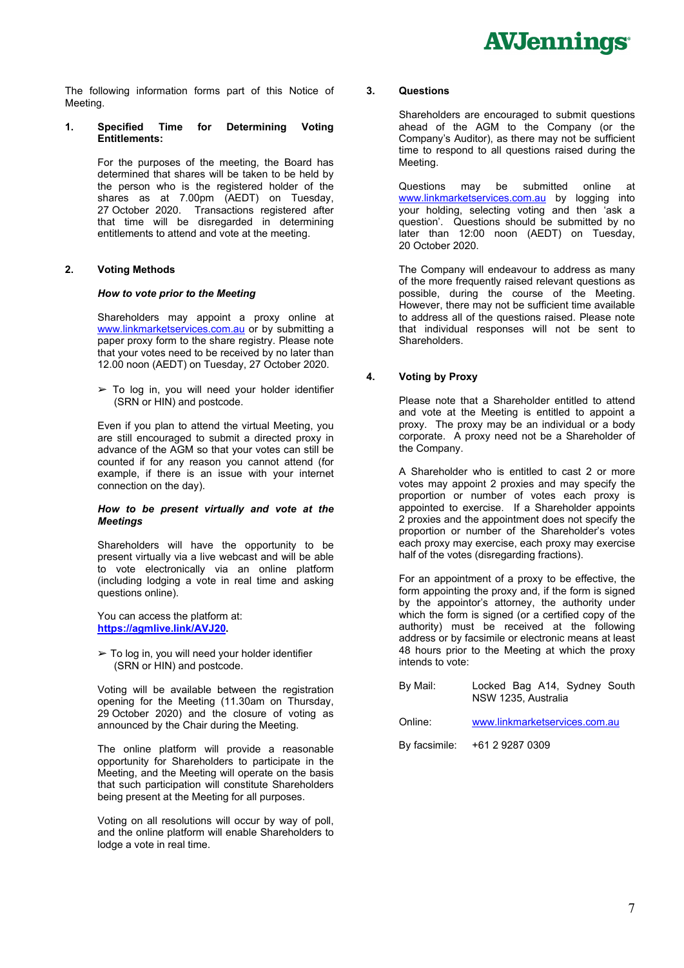The following information forms part of this Notice of Meeting.

#### **1. Specified Time for Determining Voting Entitlements:**

For the purposes of the meeting, the Board has determined that shares will be taken to be held by the person who is the registered holder of the shares as at 7.00pm (AEDT) on Tuesday, 27 October 2020. Transactions registered after that time will be disregarded in determining entitlements to attend and vote at the meeting.

#### **2. Voting Methods**

#### *How to vote prior to the Meeting*

Shareholders may appoint a proxy online at [www.linkmarketservices.com.au](http://www.linkmarketservices.com.au/) or by submitting a paper proxy form to the share registry. Please note that your votes need to be received by no later than 12.00 noon (AEDT) on Tuesday, 27 October 2020.

 $\geq$  To log in, you will need your holder identifier (SRN or HIN) and postcode.

Even if you plan to attend the virtual Meeting, you are still encouraged to submit a directed proxy in advance of the AGM so that your votes can still be counted if for any reason you cannot attend (for example, if there is an issue with your internet connection on the day).

#### *How to be present virtually and vote at the Meetings*

Shareholders will have the opportunity to be present virtually via a live webcast and will be able to vote electronically via an online platform (including lodging a vote in real time and asking questions online).

You can access the platform at: **[https://agmlive.link/AVJ20.](https://agmlive.link/AVJ20)**

 $\geq$  To log in, you will need your holder identifier (SRN or HIN) and postcode.

Voting will be available between the registration opening for the Meeting (11.30am on Thursday, 29 October 2020) and the closure of voting as announced by the Chair during the Meeting.

The online platform will provide a reasonable opportunity for Shareholders to participate in the Meeting, and the Meeting will operate on the basis that such participation will constitute Shareholders being present at the Meeting for all purposes.

Voting on all resolutions will occur by way of poll, and the online platform will enable Shareholders to lodge a vote in real time.

#### **3. Questions**

Shareholders are encouraged to submit questions ahead of the AGM to the Company (or the Company's Auditor), as there may not be sufficient time to respond to all questions raised during the Meeting.

Questions may be submitted online at [www.linkmarketservices.com.au](http://www.linkmarketservices.com.au/) by logging into your holding, selecting voting and then 'ask a question'. Questions should be submitted by no later than 12:00 noon (AEDT) on Tuesday, 20 October 2020.

The Company will endeavour to address as many of the more frequently raised relevant questions as possible, during the course of the Meeting. However, there may not be sufficient time available to address all of the questions raised. Please note that individual responses will not be sent to Shareholders.

#### **4. Voting by Proxy**

Please note that a Shareholder entitled to attend and vote at the Meeting is entitled to appoint a proxy. The proxy may be an individual or a body corporate. A proxy need not be a Shareholder of the Company.

A Shareholder who is entitled to cast 2 or more votes may appoint 2 proxies and may specify the proportion or number of votes each proxy is appointed to exercise. If a Shareholder appoints 2 proxies and the appointment does not specify the proportion or number of the Shareholder's votes each proxy may exercise, each proxy may exercise half of the votes (disregarding fractions).

For an appointment of a proxy to be effective, the form appointing the proxy and, if the form is signed by the appointor's attorney, the authority under which the form is signed (or a certified copy of the authority) must be received at the following address or by facsimile or electronic means at least 48 hours prior to the Meeting at which the proxy intends to vote:

| By Mail: |                     |  | Locked Bag A14, Sydney South |  |
|----------|---------------------|--|------------------------------|--|
|          | NSW 1235, Australia |  |                              |  |

| Online: | www.linkmarketservices.com.au |
|---------|-------------------------------|
|---------|-------------------------------|

By facsimile: +61 2 9287 0309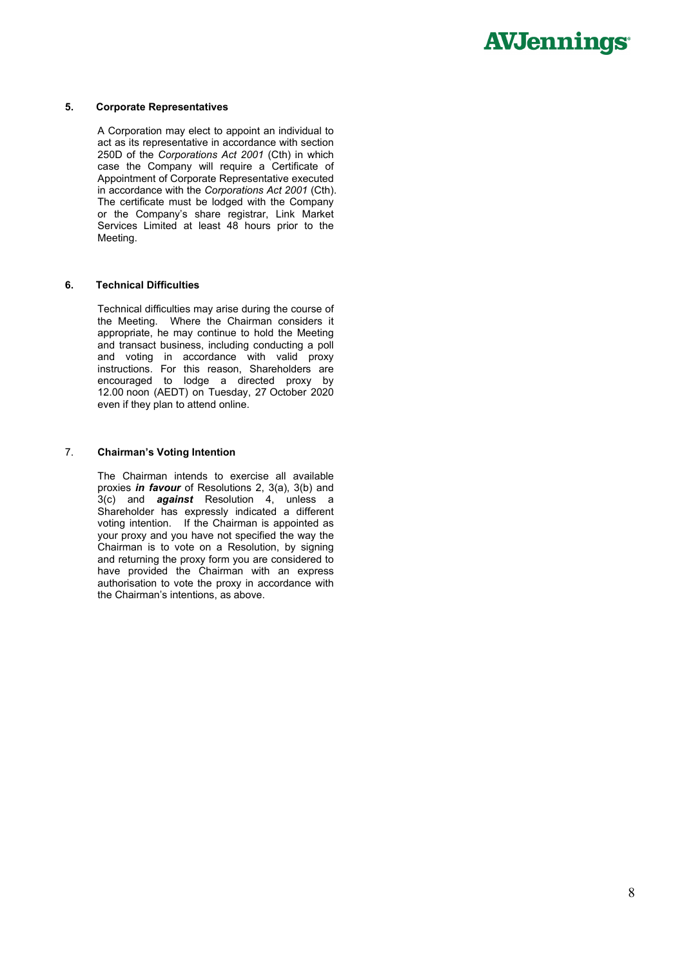#### **5. Corporate Representatives**

A Corporation may elect to appoint an individual to act as its representative in accordance with section 250D of the *Corporations Act 2001* (Cth) in which case the Company will require a Certificate of Appointment of Corporate Representative executed in accordance with the *Corporations Act 2001* (Cth). The certificate must be lodged with the Company or the Company's share registrar, Link Market Services Limited at least 48 hours prior to the Meeting.

#### **6. Technical Difficulties**

Technical difficulties may arise during the course of the Meeting. Where the Chairman considers it appropriate, he may continue to hold the Meeting and transact business, including conducting a poll and voting in accordance with valid proxy instructions. For this reason, Shareholders are encouraged to lodge a directed proxy by 12.00 noon (AEDT) on Tuesday, 27 October 2020 even if they plan to attend online.

#### 7. **Chairman's Voting Intention**

The Chairman intends to exercise all available proxies *in favour* of Resolutions 2, 3(a), 3(b) and 3(c) and *against* Resolution 4, unless a Shareholder has expressly indicated a different voting intention. If the Chairman is appointed as your proxy and you have not specified the way the Chairman is to vote on a Resolution, by signing and returning the proxy form you are considered to have provided the Chairman with an express authorisation to vote the proxy in accordance with the Chairman's intentions, as above.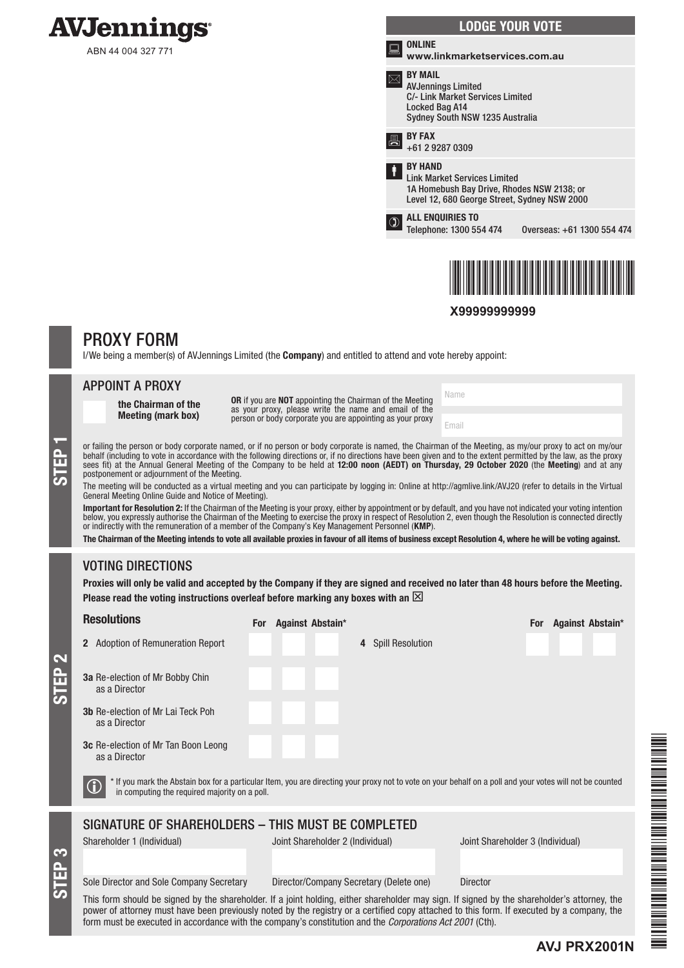

ABN 44 004 327 771

|                | <b>LODGE YOUR VOTE</b>                                                                                                                              |                            |
|----------------|-----------------------------------------------------------------------------------------------------------------------------------------------------|----------------------------|
| <b>Process</b> | ONLINE<br>www.linkmarketservices.com.au                                                                                                             |                            |
|                | <b>BY MAIL</b><br><b>AVJennings Limited</b><br>C/- Link Market Services Limited<br>Locked Bag A14<br>Sydney South NSW 1235 Australia                |                            |
|                | <b>BY FAX</b><br>+61 2 9287 0309                                                                                                                    |                            |
| Ť              | <b>BY HAND</b><br><b>Link Market Services Limited</b><br>1A Homebush Bay Drive, Rhodes NSW 2138; or<br>Level 12, 680 George Street, Sydney NSW 2000 |                            |
|                | <b>ALL ENQUIRIES TO</b><br>Telephone: 1300 554 474                                                                                                  | Overseas: +61 1300 554 474 |
|                |                                                                                                                                                     |                            |



**X99999999999**

Name

Email

## PROXY FORM

I/We being a member(s) of AVJennings Limited (the **Company**) and entitled to attend and vote hereby appoint:

| <b>APPOINT A PROXY</b> |  |  |  |
|------------------------|--|--|--|
|                        |  |  |  |

the Chairman of the Meeting (mark box)

OR if you are NOT appointing the Chairman of the Meeting as your proxy, please write the name and email of the person or body corporate you are appointing as your proxy

or failing the person or body corporate named, or if no person or body corporate is named, the Chairman of the Meeting, as my/our proxy to act on my/our behalf (including to vote in accordance with the following directions behalf (including to vote in accordance with the following directions or, if no directions have been given and to the extent permitted by the law, as the proxy sees fit) at the Annual General Meeting of the Company to be held at 12:00 noon (AEDT) on Thursday, 29 October 2020 (the Meeting) and at any postponement or adjournment of the Meeting.

The meeting will be conducted as a virtual meeting and you can participate by logging in: Online at http://agmlive.link/AVJ20 (refer to details in the Virtual General Meeting Online Guide and Notice of Meeting).

**Important for Resolution 2:** If the Chairman of the Meeting is your proxy, either by appointment or by default, and you have not indicated your voting intention<br>below, you expressly authorise the Chairman of the Meeting t or indirectly with the remuneration of a member of the Company's Key Management Personnel (KMP).

The Chairman of the Meeting intends to vote all available proxies in favour of all items of business except Resolution 4, where he will be voting against.

## VOTING DIRECTIONS

STEP 3

STEP 2

Proxies will only be valid and accepted by the Company if they are signed and received no later than 48 hours before the Meeting. Please read the voting instructions overleaf before marking any boxes with an  $\boxtimes$ 

| <b>Resolutions</b>                                          | Against Abstain*<br><b>For</b>                                                                                                                            | Against Abstain*<br><b>For</b>   |
|-------------------------------------------------------------|-----------------------------------------------------------------------------------------------------------------------------------------------------------|----------------------------------|
| <b>Adoption of Remuneration Report</b>                      | <b>Spill Resolution</b><br>4                                                                                                                              |                                  |
| <b>3a</b> Re-election of Mr Bobby Chin<br>as a Director     |                                                                                                                                                           |                                  |
| <b>3b</b> Re-election of Mr Lai Teck Poh<br>as a Director   |                                                                                                                                                           |                                  |
| <b>3c</b> Re-election of Mr Tan Boon Leong<br>as a Director |                                                                                                                                                           |                                  |
| in computing the required majority on a poll.               | * If you mark the Abstain box for a particular Item, you are directing your proxy not to vote on your behalf on a poll and your votes will not be counted |                                  |
|                                                             | SIGNATURE OF SHAREHOLDERS - THIS MUST BE COMPLETED                                                                                                        |                                  |
| Shareholder 1 (Individual)                                  | Joint Shareholder 2 (Individual)                                                                                                                          | Joint Shareholder 3 (Individual) |
|                                                             |                                                                                                                                                           |                                  |
| Sole Director and Sole Company Secretary                    | Director/Company Secretary (Delete one)<br><b>Director</b>                                                                                                |                                  |
|                                                             | This form should be sianed by the shareholder. If a ioint holding, either shareholder may sign. If signed by the shareholder's attorney, the              |                                  |

This form should be signed by the shareholder. If a joint holding, either shareholder may sign. If signed by the shareholder's attorney, the power of attorney must have been previously noted by the registry or a certified copy attached to this form. If executed by a company, the form must be executed in accordance with the company's constitution and the *Corporations Act 2001* (Cth).

**AVJ PRX2001N**

FAVO PRINCIPAL PROVINCI PRINCIPAL PRINCIPAL PRINCIPAL PRINCIPAL PRINCIPAL PRINCIPAL PRINCIPAL PRINCIPAL PRINCIPAL PRINCIPAL PRINCIPAL PRINCIPAL PRINCIPAL PRINCIPAL PRINCIPAL PRINCIPAL PRINCIPAL PRINCIPAL PRINCIPAL PRINCIPA

THE PERSON ASSESSED AND THE RESIDENCE OF A SERIES OF A SERIES OF A SERIES OF A SERIES OF A SERIES OF A SERIES